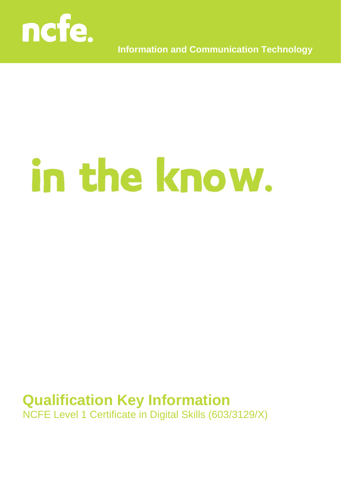

**Information and Communication Technology**

# in the know.

## **Qualification Key Information** NCFE Level 1 Certificate in Digital Skills (603/3129/X)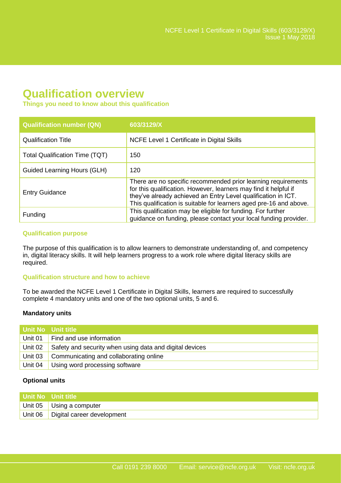### **Qualification overview**

#### **Things you need to know about this qualification**

| <b>Qualification number (QN)</b> | 603/3129/X                                                                                                                                                                                                                                                               |
|----------------------------------|--------------------------------------------------------------------------------------------------------------------------------------------------------------------------------------------------------------------------------------------------------------------------|
| <b>Qualification Title</b>       | NCFE Level 1 Certificate in Digital Skills                                                                                                                                                                                                                               |
| Total Qualification Time (TQT)   | 150                                                                                                                                                                                                                                                                      |
| Guided Learning Hours (GLH)      | 120                                                                                                                                                                                                                                                                      |
| <b>Entry Guidance</b>            | There are no specific recommended prior learning requirements<br>for this qualification. However, learners may find it helpful if<br>they've already achieved an Entry Level qualification in ICT.<br>This qualification is suitable for learners aged pre-16 and above. |
| Funding                          | This qualification may be eligible for funding. For further<br>guidance on funding, please contact your local funding provider.                                                                                                                                          |

#### **Qualification purpose**

The purpose of this qualification is to allow learners to demonstrate understanding of, and competency in, digital literacy skills. It will help learners progress to a work role where digital literacy skills are required.

#### **Qualification structure and how to achieve**

To be awarded the NCFE Level 1 Certificate in Digital Skills, learners are required to successfully complete 4 mandatory units and one of the two optional units, 5 and 6.

#### **Mandatory units**

|         | Unit No Unit title                                      |
|---------|---------------------------------------------------------|
| Unit 01 | Find and use information                                |
| Unit 02 | Safety and security when using data and digital devices |
| Unit 03 | Communicating and collaborating online                  |
| Unit 04 | Using word processing software                          |

#### **Optional units**

| l Unit No Unit title                 |
|--------------------------------------|
| Unit 05 Using a computer             |
| Unit 06   Digital career development |